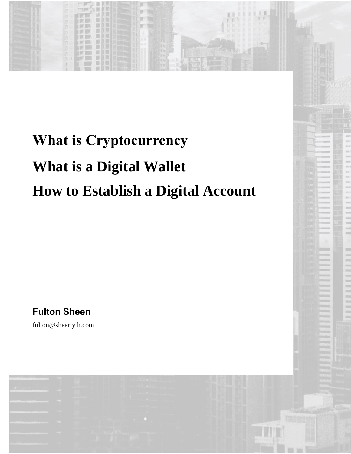## **What is Cryptocurrency What is a Digital Wallet How to Establish a Digital Account**

**Fulton Sheen**

fulton@sheeriyth.com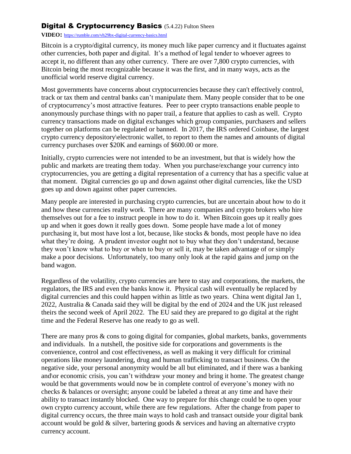## **Digital & Cryptocurrency Basics (5.4.22) Fulton Sheen**

## **VIDEO:** <https://rumble.com/vh29bx-digital-currency-basics.html>

Bitcoin is a crypto/digital currency, its money much like paper currency and it fluctuates against other currencies, both paper and digital. It's a method of legal tender to whoever agrees to accept it, no different than any other currency. There are over 7,800 crypto currencies, with Bitcoin being the most recognizable because it was the first, and in many ways, acts as the unofficial world reserve digital currency.

Most governments have concerns about cryptocurrencies because they can't effectively control, track or tax them and central banks can't manipulate them. Many people consider that to be one of cryptocurrency's most attractive features. Peer to peer crypto transactions enable people to anonymously purchase things with no paper trail, a feature that applies to cash as well. Crypto currency transactions made on digital exchanges which group companies, purchasers and sellers together on platforms can be regulated or banned. In 2017, the IRS ordered Coinbase, the largest crypto currency depository\electronic wallet, to report to them the names and amounts of digital currency purchases over \$20K and earnings of \$600.00 or more.

Initially, crypto currencies were not intended to be an investment, but that is widely how the public and markets are treating them today. When you purchase/exchange your currency into cryptocurrencies, you are getting a digital representation of a currency that has a specific value at that moment. Digital currencies go up and down against other digital currencies, like the USD goes up and down against other paper currencies.

Many people are interested in purchasing crypto currencies, but are uncertain about how to do it and how these currencies really work. There are many companies and crypto brokers who hire themselves out for a fee to instruct people in how to do it. When Bitcoin goes up it really goes up and when it goes down it really goes down. Some people have made a lot of money purchasing it, but most have lost a lot, because, like stocks & bonds, most people have no idea what they're doing. A prudent investor ought not to buy what they don't understand, because they won't know what to buy or when to buy or sell it, may be taken advantage of or simply make a poor decisions. Unfortunately, too many only look at the rapid gains and jump on the band wagon.

Regardless of the volatility, crypto currencies are here to stay and corporations, the markets, the regulators, the IRS and even the banks know it. Physical cash will eventually be replaced by digital currencies and this could happen within as little as two years. China went digital Jan 1, 2022, Australia & Canada said they will be digital by the end of 2024 and the UK just released theirs the second week of April 2022. The EU said they are prepared to go digital at the right time and the Federal Reserve has one ready to go as well.

There are many pros & cons to going digital for companies, global markets, banks, governments and individuals. In a nutshell, the positive side for corporations and governments is the convenience, control and cost effectiveness, as well as making it very difficult for criminal operations like money laundering, drug and human trafficking to transact business. On the negative side, your personal anonymity would be all but eliminated, and if there was a banking and\or economic crisis, you can't withdraw your money and bring it home. The greatest change would be that governments would now be in complete control of everyone's money with no checks & balances or oversight; anyone could be labeled a threat at any time and have their ability to transact instantly blocked. One way to prepare for this change could be to open your own crypto currency account, while there are few regulations. After the change from paper to digital currency occurs, the three main ways to hold cash and transact outside your digital bank account would be gold & silver, bartering goods & services and having an alternative crypto currency account.